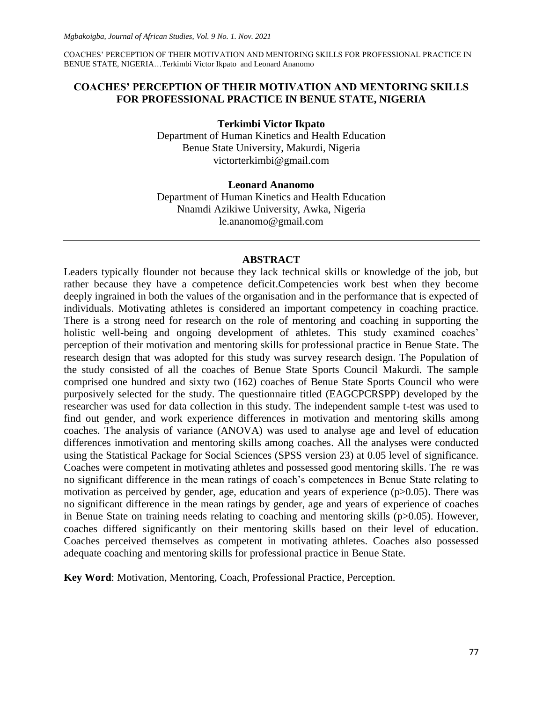# **COACHES' PERCEPTION OF THEIR MOTIVATION AND MENTORING SKILLS FOR PROFESSIONAL PRACTICE IN BENUE STATE, NIGERIA**

**Terkimbi Victor Ikpato**

Department of Human Kinetics and Health Education Benue State University, Makurdi, Nigeria [victorterkimbi@gmail.com](mailto:victorterkimbi@gmail.com)

**Leonard Ananomo** Department of Human Kinetics and Health Education Nnamdi Azikiwe University, Awka, Nigeria [le.ananomo@gmail.com](mailto:le.ananomo@gmail.com)

### **ABSTRACT**

Leaders typically flounder not because they lack technical skills or knowledge of the job, but rather because they have a competence deficit.Competencies work best when they become deeply ingrained in both the values of the organisation and in the performance that is expected of individuals. Motivating athletes is considered an important competency in coaching practice. There is a strong need for research on the role of mentoring and coaching in supporting the holistic well-being and ongoing development of athletes. This study examined coaches' perception of their motivation and mentoring skills for professional practice in Benue State. The research design that was adopted for this study was survey research design. The Population of the study consisted of all the coaches of Benue State Sports Council Makurdi. The sample comprised one hundred and sixty two (162) coaches of Benue State Sports Council who were purposively selected for the study. The questionnaire titled (EAGCPCRSPP) developed by the researcher was used for data collection in this study. The independent sample t-test was used to find out gender, and work experience differences in motivation and mentoring skills among coaches. The analysis of variance (ANOVA) was used to analyse age and level of education differences inmotivation and mentoring skills among coaches. All the analyses were conducted using the Statistical Package for Social Sciences (SPSS version 23) at 0.05 level of significance. Coaches were competent in motivating athletes and possessed good mentoring skills. The re was no significant difference in the mean ratings of coach's competences in Benue State relating to motivation as perceived by gender, age, education and years of experience  $(p>0.05)$ . There was no significant difference in the mean ratings by gender, age and years of experience of coaches in Benue State on training needs relating to coaching and mentoring skills (p>0.05). However, coaches differed significantly on their mentoring skills based on their level of education. Coaches perceived themselves as competent in motivating athletes. Coaches also possessed adequate coaching and mentoring skills for professional practice in Benue State.

**Key Word**: Motivation, Mentoring, Coach, Professional Practice, Perception.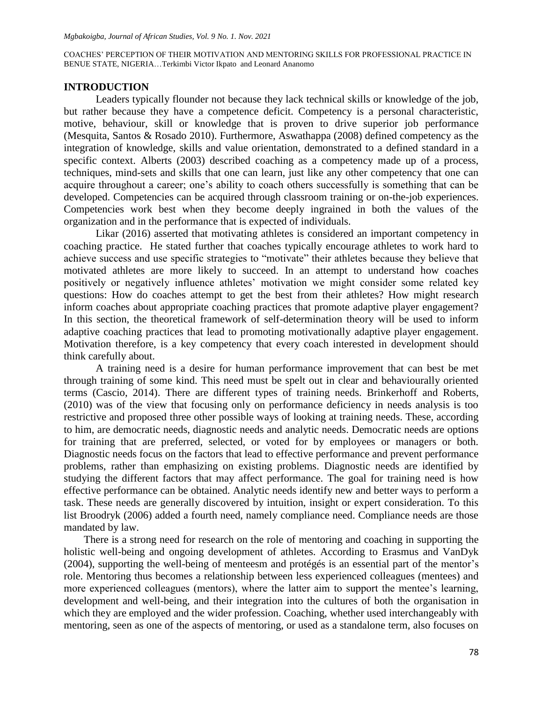#### **INTRODUCTION**

Leaders typically flounder not because they lack technical skills or knowledge of the job, but rather because they have a competence deficit. Competency is a personal characteristic, motive, behaviour, skill or knowledge that is proven to drive superior job performance (Mesquita, Santos & Rosado 2010). Furthermore, Aswathappa (2008) defined competency as the integration of knowledge, skills and value orientation, demonstrated to a defined standard in a specific context. Alberts (2003) described coaching as a competency made up of a process, techniques, mind-sets and skills that one can learn, just like any other competency that one can acquire throughout a career; one's ability to coach others successfully is something that can be developed. Competencies can be acquired through classroom training or on-the-job experiences. Competencies work best when they become deeply ingrained in both the values of the organization and in the performance that is expected of individuals.

Likar (2016) asserted that motivating athletes is considered an important competency in coaching practice. He stated further that coaches typically encourage athletes to work hard to achieve success and use specific strategies to "motivate" their athletes because they believe that motivated athletes are more likely to succeed. In an attempt to understand how coaches positively or negatively influence athletes' motivation we might consider some related key questions: How do coaches attempt to get the best from their athletes? How might research inform coaches about appropriate coaching practices that promote adaptive player engagement? In this section, the theoretical framework of self-determination theory will be used to inform adaptive coaching practices that lead to promoting motivationally adaptive player engagement. Motivation therefore, is a key competency that every coach interested in development should think carefully about.

A training need is a desire for human performance improvement that can best be met through training of some kind. This need must be spelt out in clear and behaviourally oriented terms (Cascio, 2014). There are different types of training needs. Brinkerhoff and Roberts, (2010) was of the view that focusing only on performance deficiency in needs analysis is too restrictive and proposed three other possible ways of looking at training needs. These, according to him, are democratic needs, diagnostic needs and analytic needs. Democratic needs are options for training that are preferred, selected, or voted for by employees or managers or both. Diagnostic needs focus on the factors that lead to effective performance and prevent performance problems, rather than emphasizing on existing problems. Diagnostic needs are identified by studying the different factors that may affect performance. The goal for training need is how effective performance can be obtained. Analytic needs identify new and better ways to perform a task. These needs are generally discovered by intuition, insight or expert consideration. To this list Broodryk (2006) added a fourth need, namely compliance need. Compliance needs are those mandated by law.

There is a strong need for research on the role of mentoring and coaching in supporting the holistic well-being and ongoing development of athletes. According to Erasmus and VanDyk (2004), supporting the well-being of menteesm and protégés is an essential part of the mentor's role. Mentoring thus becomes a relationship between less experienced colleagues (mentees) and more experienced colleagues (mentors), where the latter aim to support the mentee's learning, development and well-being, and their integration into the cultures of both the organisation in which they are employed and the wider profession. Coaching, whether used interchangeably with mentoring, seen as one of the aspects of mentoring, or used as a standalone term, also focuses on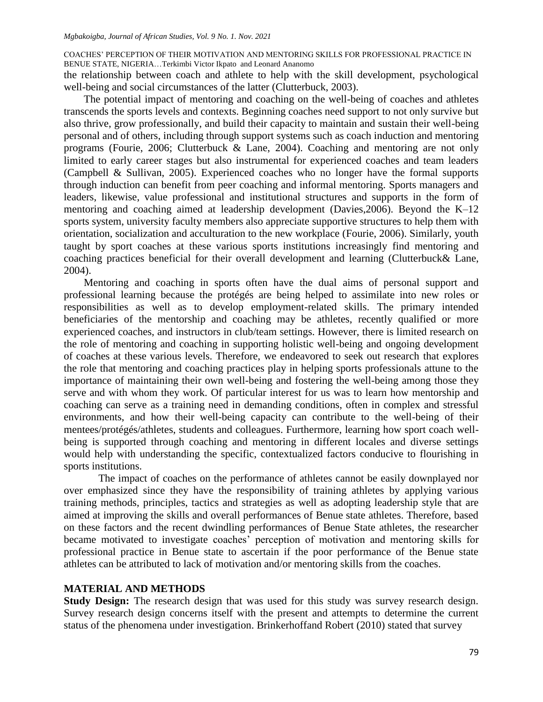the relationship between coach and athlete to help with the skill development, psychological well-being and social circumstances of the latter (Clutterbuck, 2003).

The potential impact of mentoring and coaching on the well-being of coaches and athletes transcends the sports levels and contexts. Beginning coaches need support to not only survive but also thrive, grow professionally, and build their capacity to maintain and sustain their well-being personal and of others, including through support systems such as coach induction and mentoring programs (Fourie, 2006; Clutterbuck & Lane, 2004). Coaching and mentoring are not only limited to early career stages but also instrumental for experienced coaches and team leaders (Campbell & Sullivan, 2005). Experienced coaches who no longer have the formal supports through induction can benefit from peer coaching and informal mentoring. Sports managers and leaders, likewise, value professional and institutional structures and supports in the form of mentoring and coaching aimed at leadership development (Davies,2006). Beyond the K–12 sports system, university faculty members also appreciate supportive structures to help them with orientation, socialization and acculturation to the new workplace (Fourie, 2006). Similarly, youth taught by sport coaches at these various sports institutions increasingly find mentoring and coaching practices beneficial for their overall development and learning (Clutterbuck& Lane, 2004).

Mentoring and coaching in sports often have the dual aims of personal support and professional learning because the protégés are being helped to assimilate into new roles or responsibilities as well as to develop employment-related skills. The primary intended beneficiaries of the mentorship and coaching may be athletes, recently qualified or more experienced coaches, and instructors in club/team settings. However, there is limited research on the role of mentoring and coaching in supporting holistic well-being and ongoing development of coaches at these various levels. Therefore, we endeavored to seek out research that explores the role that mentoring and coaching practices play in helping sports professionals attune to the importance of maintaining their own well-being and fostering the well-being among those they serve and with whom they work. Of particular interest for us was to learn how mentorship and coaching can serve as a training need in demanding conditions, often in complex and stressful environments, and how their well-being capacity can contribute to the well-being of their mentees/protégés/athletes, students and colleagues. Furthermore, learning how sport coach wellbeing is supported through coaching and mentoring in different locales and diverse settings would help with understanding the specific, contextualized factors conducive to flourishing in sports institutions.

 The impact of coaches on the performance of athletes cannot be easily downplayed nor over emphasized since they have the responsibility of training athletes by applying various training methods, principles, tactics and strategies as well as adopting leadership style that are aimed at improving the skills and overall performances of Benue state athletes. Therefore, based on these factors and the recent dwindling performances of Benue State athletes, the researcher became motivated to investigate coaches' perception of motivation and mentoring skills for professional practice in Benue state to ascertain if the poor performance of the Benue state athletes can be attributed to lack of motivation and/or mentoring skills from the coaches.

## **MATERIAL AND METHODS**

**Study Design:** The research design that was used for this study was survey research design. Survey research design concerns itself with the present and attempts to determine the current status of the phenomena under investigation. Brinkerhoffand Robert (2010) stated that survey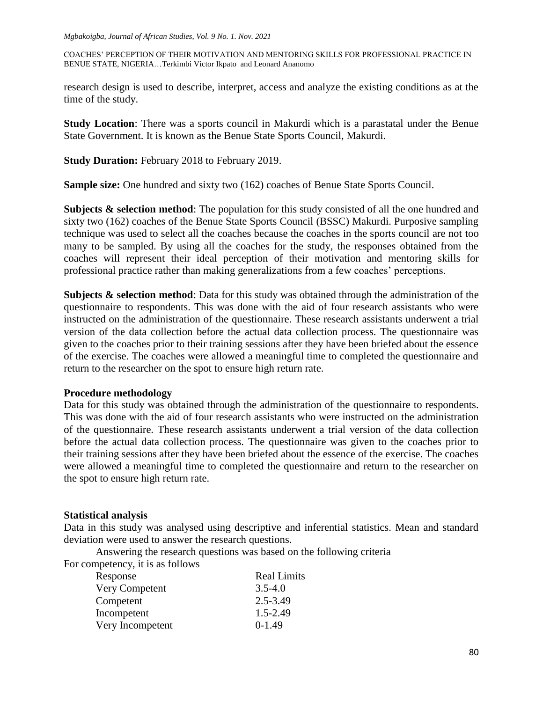research design is used to describe, interpret, access and analyze the existing conditions as at the time of the study.

**Study Location**: There was a sports council in Makurdi which is a parastatal under the Benue State Government. It is known as the Benue State Sports Council, Makurdi.

**Study Duration:** February 2018 to February 2019.

**Sample size:** One hundred and sixty two (162) coaches of Benue State Sports Council.

**Subjects & selection method**: The population for this study consisted of all the one hundred and sixty two (162) coaches of the Benue State Sports Council (BSSC) Makurdi. Purposive sampling technique was used to select all the coaches because the coaches in the sports council are not too many to be sampled. By using all the coaches for the study, the responses obtained from the coaches will represent their ideal perception of their motivation and mentoring skills for professional practice rather than making generalizations from a few coaches' perceptions.

**Subjects & selection method**: Data for this study was obtained through the administration of the questionnaire to respondents. This was done with the aid of four research assistants who were instructed on the administration of the questionnaire. These research assistants underwent a trial version of the data collection before the actual data collection process. The questionnaire was given to the coaches prior to their training sessions after they have been briefed about the essence of the exercise. The coaches were allowed a meaningful time to completed the questionnaire and return to the researcher on the spot to ensure high return rate.

## **Procedure methodology**

Data for this study was obtained through the administration of the questionnaire to respondents. This was done with the aid of four research assistants who were instructed on the administration of the questionnaire. These research assistants underwent a trial version of the data collection before the actual data collection process. The questionnaire was given to the coaches prior to their training sessions after they have been briefed about the essence of the exercise. The coaches were allowed a meaningful time to completed the questionnaire and return to the researcher on the spot to ensure high return rate.

## **Statistical analysis**

Data in this study was analysed using descriptive and inferential statistics. Mean and standard deviation were used to answer the research questions.

Answering the research questions was based on the following criteria

For competency, it is as follows

| <b>Real Limits</b> |
|--------------------|
| $3.5 - 4.0$        |
| $2.5 - 3.49$       |
| $1.5 - 2.49$       |
| $0-1.49$           |
|                    |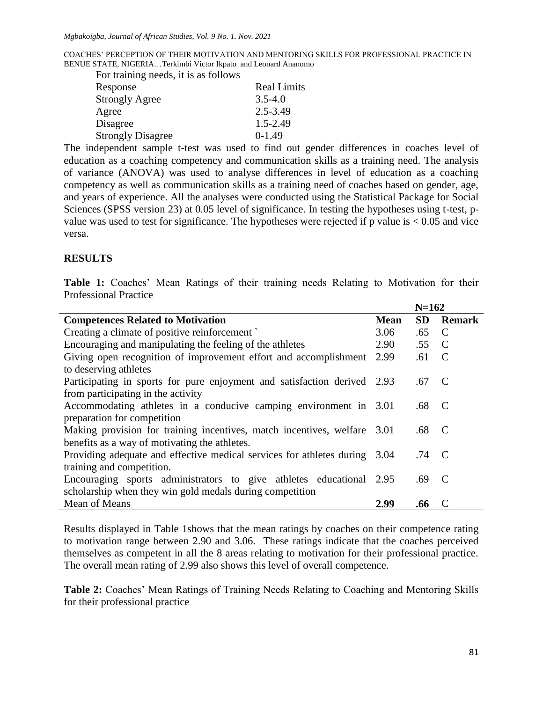For training needs, it is as follows

| Response                 | <b>Real Limits</b> |
|--------------------------|--------------------|
| <b>Strongly Agree</b>    | $3.5 - 4.0$        |
| Agree                    | $2.5 - 3.49$       |
| Disagree                 | $1.5 - 2.49$       |
| <b>Strongly Disagree</b> | $0-1.49$           |
|                          |                    |

The independent sample t-test was used to find out gender differences in coaches level of education as a coaching competency and communication skills as a training need. The analysis of variance (ANOVA) was used to analyse differences in level of education as a coaching competency as well as communication skills as a training need of coaches based on gender, age, and years of experience. All the analyses were conducted using the Statistical Package for Social Sciences (SPSS version 23) at 0.05 level of significance. In testing the hypotheses using t-test, pvalue was used to test for significance. The hypotheses were rejected if  $p$  value is  $< 0.05$  and vice versa.

# **RESULTS**

**Table 1:** Coaches' Mean Ratings of their training needs Relating to Motivation for their Professional Practice

|                                                                            |             | $N = 162$    |               |
|----------------------------------------------------------------------------|-------------|--------------|---------------|
| <b>Competences Related to Motivation</b>                                   | <b>Mean</b> | <b>SD</b>    | <b>Remark</b> |
| Creating a climate of positive reinforcement `                             | 3.06        | $.65\quad C$ |               |
| Encouraging and manipulating the feeling of the athletes                   | 2.90        | .55 C        |               |
| Giving open recognition of improvement effort and accomplishment 2.99      |             | $.61\quad C$ |               |
| to deserving athletes                                                      |             |              |               |
| Participating in sports for pure enjoyment and satisfaction derived 2.93   |             | .67 C        |               |
| from participating in the activity                                         |             |              |               |
| Accommodating athletes in a conducive camping environment in 3.01          |             | .68 C        |               |
| preparation for competition                                                |             |              |               |
| Making provision for training incentives, match incentives, welfare 3.01   |             | .68 C        |               |
| benefits as a way of motivating the athletes.                              |             |              |               |
| Providing adequate and effective medical services for athletes during 3.04 |             | $.74\quad C$ |               |
| training and competition.                                                  |             |              |               |
| Encouraging sports administrators to give athletes educational 2.95        |             | $.69-$       |               |
| scholarship when they win gold medals during competition                   |             |              |               |
| Mean of Means                                                              | 2.99        | .66          | $\mathcal{C}$ |

Results displayed in Table 1shows that the mean ratings by coaches on their competence rating to motivation range between 2.90 and 3.06. These ratings indicate that the coaches perceived themselves as competent in all the 8 areas relating to motivation for their professional practice. The overall mean rating of 2.99 also shows this level of overall competence.

**Table 2:** Coaches' Mean Ratings of Training Needs Relating to Coaching and Mentoring Skills for their professional practice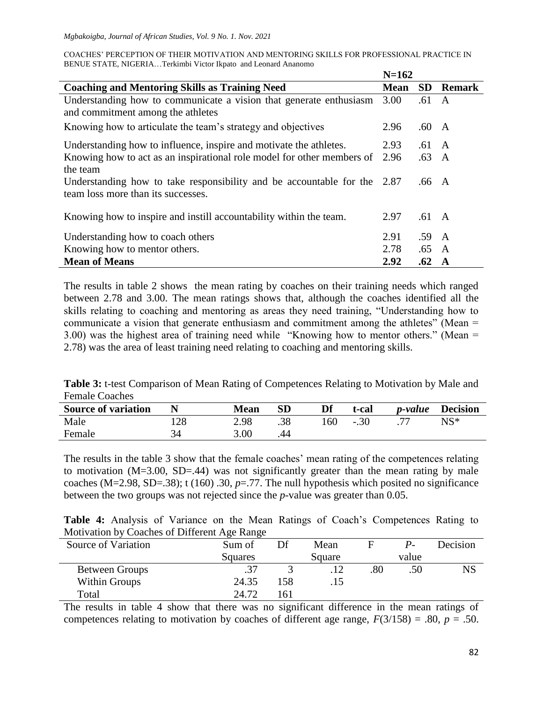| COACHES' PERCEPTION OF THEIR MOTIVATION AND MENTORING SKILLS FOR PROFESSIONAL PRACTICE IN |                  |
|-------------------------------------------------------------------------------------------|------------------|
| BENUE STATE, NIGERIATerkimbi Victor Ikpato and Leonard Ananomo                            |                  |
|                                                                                           | $\mathbf{N}$ 160 |

|                                                                             | $1 - 102$   |              |               |
|-----------------------------------------------------------------------------|-------------|--------------|---------------|
| <b>Coaching and Mentoring Skills as Training Need</b>                       | <b>Mean</b> | <b>SD</b>    | <b>Remark</b> |
| Understanding how to communicate a vision that generate enthusiasm          | 3.00        | $.61\quad A$ |               |
| and commitment among the athletes                                           |             |              |               |
| Knowing how to articulate the team's strategy and objectives                | 2.96        | $.60\quad A$ |               |
| Understanding how to influence, inspire and motivate the athletes.          | 2.93        | .61          | $\mathbf{A}$  |
| Knowing how to act as an inspirational role model for other members of 2.96 |             | $.63\quad A$ |               |
| the team                                                                    |             |              |               |
| Understanding how to take responsibility and be accountable for the 2.87    |             | .66 A        |               |
| team loss more than its successes.                                          |             |              |               |
|                                                                             |             |              |               |
| Knowing how to inspire and instill accountability within the team.          | 2.97        | $.61\quad A$ |               |
| Understanding how to coach others                                           | 2.91        | .59          | A             |
| Knowing how to mentor others.                                               | 2.78        | $.65\quad A$ |               |
| <b>Mean of Means</b>                                                        | 2.92        | .62          | $\mathbf{A}$  |

The results in table 2 shows the mean rating by coaches on their training needs which ranged between 2.78 and 3.00. The mean ratings shows that, although the coaches identified all the skills relating to coaching and mentoring as areas they need training, "Understanding how to communicate a vision that generate enthusiasm and commitment among the athletes" (Mean = 3.00) was the highest area of training need while "Knowing how to mentor others." (Mean = 2.78) was the area of least training need relating to coaching and mentoring skills.

**Table 3:** t-test Comparison of Mean Rating of Competences Relating to Motivation by Male and Female Coaches

| <b>Source of variation</b> |     | Mean | ${\bf SD}$ | Df  | t-cal  | <i>p</i> -value | <b>Decision</b> |
|----------------------------|-----|------|------------|-----|--------|-----------------|-----------------|
| Male                       | 128 | 2.98 | .38        | 160 | $-.30$ |                 | $\mathrm{NS}^*$ |
| Female                     | 34  | 3.00 | 44         |     |        |                 |                 |

The results in the table 3 show that the female coaches' mean rating of the competences relating to motivation (M=3.00, SD=.44) was not significantly greater than the mean rating by male coaches (M=2.98, SD=.38); t (160) .30, *p*=.77. The null hypothesis which posited no significance between the two groups was not rejected since the *p*-value was greater than 0.05.

|  |  |                                              |  |  |  | Table 4: Analysis of Variance on the Mean Ratings of Coach's Competences Rating to |  |
|--|--|----------------------------------------------|--|--|--|------------------------------------------------------------------------------------|--|
|  |  | Motivation by Coaches of Different Age Range |  |  |  |                                                                                    |  |

| Source of Variation  | Sum of         |     | Mean   |     | $P_{-}$ | Decision |
|----------------------|----------------|-----|--------|-----|---------|----------|
|                      | <b>Squares</b> |     | Square |     | value   |          |
| Between Groups       |                |     |        | .80 | .50     | NS       |
| <b>Within Groups</b> | 24.35          | 158 |        |     |         |          |
| Total                | 24.72          | .61 |        |     |         |          |

The results in table 4 show that there was no significant difference in the mean ratings of competences relating to motivation by coaches of different age range,  $F(3/158) = .80$ ,  $p = .50$ .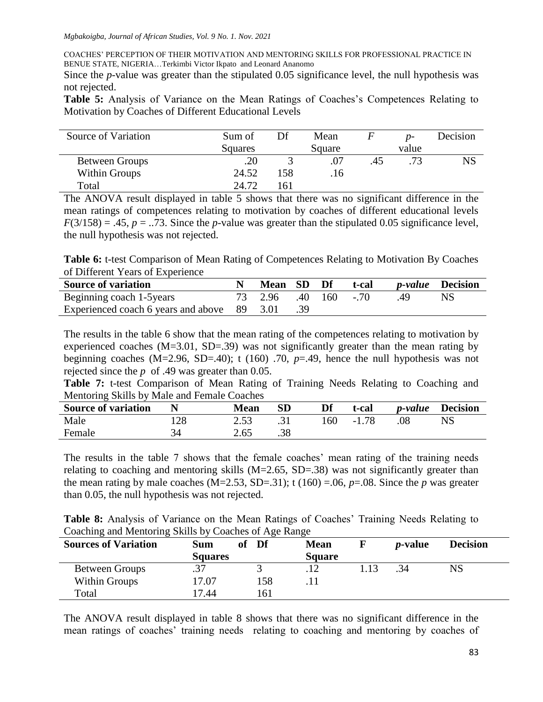Since the *p*-value was greater than the stipulated 0.05 significance level, the null hypothesis was not rejected.

**Table 5:** Analysis of Variance on the Mean Ratings of Coaches's Competences Relating to Motivation by Coaches of Different Educational Levels

| Source of Variation   | Sum of<br>Squares | Df  | Mean<br>Square |     | $\n  D$<br>value | Decision |
|-----------------------|-------------------|-----|----------------|-----|------------------|----------|
| <b>Between Groups</b> | .20               |     |                | .45 |                  | NS       |
| <b>Within Groups</b>  | 24.52             | 158 | . $16$         |     |                  |          |
| Total                 | 24.72             | 161 |                |     |                  |          |

The ANOVA result displayed in table 5 shows that there was no significant difference in the mean ratings of competences relating to motivation by coaches of different educational levels  $F(3/158) = .45$ ,  $p = .73$ . Since the *p*-value was greater than the stipulated 0.05 significance level, the null hypothesis was not rejected.

**Table 6:** t-test Comparison of Mean Rating of Competences Relating to Motivation By Coaches of Different Years of Experience

| <b>Source of variation</b>                  | Mean SD Df |              | t-cal | <i>p-value</i> Decision |    |
|---------------------------------------------|------------|--------------|-------|-------------------------|----|
| Beginning coach 1-5 years                   | 73 2.96    | .40 160 -.70 |       | - 49                    | NS |
| Experienced coach 6 years and above 89 3.01 |            |              |       |                         |    |

The results in the table 6 show that the mean rating of the competences relating to motivation by experienced coaches  $(M=3.01, SD=.39)$  was not significantly greater than the mean rating by beginning coaches (M=2.96, SD=.40); t (160) .70, *p*=.49, hence the null hypothesis was not rejected since the *p* of .49 was greater than 0.05.

**Table 7:** t-test Comparison of Mean Rating of Training Needs Relating to Coaching and Mentoring Skills by Male and Female Coaches

| <b>Source of variation</b> |     | <b>Mean</b> |     | Df | t-cal   | <i>p</i> -value | <b>Decision</b> |
|----------------------------|-----|-------------|-----|----|---------|-----------------|-----------------|
| Male                       | 128 | ل ل. ب      |     | 60 | $-1.78$ |                 |                 |
| Female                     | 34  | 2.65        | .38 |    |         |                 |                 |

The results in the table 7 shows that the female coaches' mean rating of the training needs relating to coaching and mentoring skills  $(M=2.65, SD=.38)$  was not significantly greater than the mean rating by male coaches (M=2.53, SD=.31); t (160) =.06,  $p=0.08$ . Since the  $p$  was greater than 0.05, the null hypothesis was not rejected.

**Table 8:** Analysis of Variance on the Mean Ratings of Coaches' Training Needs Relating to Coaching and Mentoring Skills by Coaches of Age Range

| <b>Sources of Variation</b> | <b>Sum</b><br>of | Df  | <b>Mean</b>   |      | <i>p</i> -value | <b>Decision</b> |
|-----------------------------|------------------|-----|---------------|------|-----------------|-----------------|
|                             | <b>Squares</b>   |     | <b>Square</b> |      |                 |                 |
| <b>Between Groups</b>       |                  |     |               | 1.13 | .34             | $_{\rm NS}$     |
| <b>Within Groups</b>        | 17.07            | 58ء | .11           |      |                 |                 |
| Total                       | l 7.44           | .61 |               |      |                 |                 |

The ANOVA result displayed in table 8 shows that there was no significant difference in the mean ratings of coaches' training needs relating to coaching and mentoring by coaches of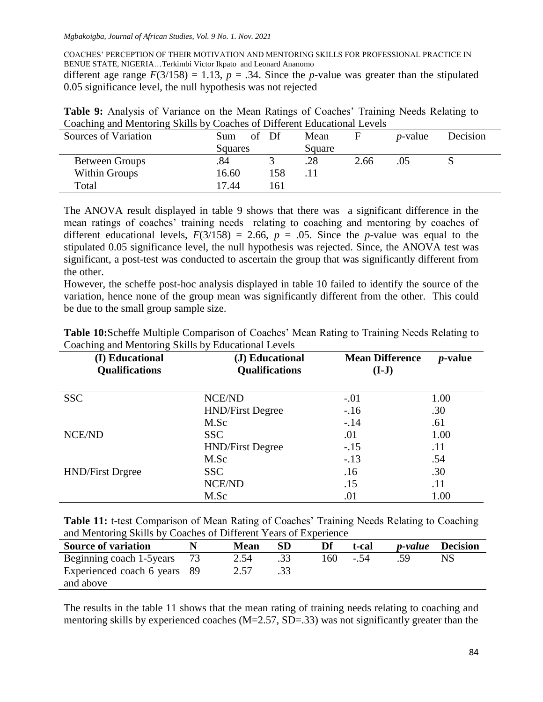different age range  $F(3/158) = 1.13$ ,  $p = .34$ . Since the *p*-value was greater than the stipulated 0.05 significance level, the null hypothesis was not rejected

| Coaching and memoring SKINS by Coaches of Different Educational Ecvets |         |       |        |      |                 |          |  |  |
|------------------------------------------------------------------------|---------|-------|--------|------|-----------------|----------|--|--|
| Sources of Variation                                                   | Sum.    | of Df | Mean   |      | <i>p</i> -value | Decision |  |  |
|                                                                        | Squares |       | Square |      |                 |          |  |  |
| <b>Between Groups</b>                                                  | 84      |       | .28    | 2.66 | .05             |          |  |  |
| Within Groups                                                          | 16.60   | 158   |        |      |                 |          |  |  |
| Total                                                                  | 17.44   | 161   |        |      |                 |          |  |  |

**Table 9:** Analysis of Variance on the Mean Ratings of Coaches' Training Needs Relating to Coaching and Mentoring Skills by Coaches of Different Educational Levels

The ANOVA result displayed in table 9 shows that there was a significant difference in the mean ratings of coaches' training needs relating to coaching and mentoring by coaches of different educational levels,  $F(3/158) = 2.66$ ,  $p = .05$ . Since the *p*-value was equal to the stipulated 0.05 significance level, the null hypothesis was rejected. Since, the ANOVA test was significant, a post-test was conducted to ascertain the group that was significantly different from the other.

However, the scheffe post-hoc analysis displayed in table 10 failed to identify the source of the variation, hence none of the group mean was significantly different from the other. This could be due to the small group sample size.

| (I) Educational<br><b>Qualifications</b> | (J) Educational<br><b>Qualifications</b> | <b>Mean Difference</b><br>$(I-J)$ | <i>p</i> -value |
|------------------------------------------|------------------------------------------|-----------------------------------|-----------------|
| <b>SSC</b>                               | NCE/ND                                   | $-.01$                            | 1.00            |
|                                          | <b>HND/First Degree</b>                  | $-16$                             | .30             |
|                                          | M.Sc                                     | $-.14$                            | .61             |
| <b>NCE/ND</b>                            | <b>SSC</b>                               | .01                               | 1.00            |
|                                          | <b>HND/First Degree</b>                  | $-.15$                            | .11             |
|                                          | M.Sc                                     | $-.13$                            | .54             |
| <b>HND/First Drgree</b>                  | <b>SSC</b>                               | .16                               | .30             |
|                                          | NCE/ND                                   | .15                               | .11             |
|                                          | M.Sc                                     | .01                               | 1.00            |

**Table 10:**Scheffe Multiple Comparison of Coaches' Mean Rating to Training Needs Relating to Coaching and Mentoring Skills by Educational Levels

**Table 11:** t-test Comparison of Mean Rating of Coaches' Training Needs Relating to Coaching and Mentoring Skills by Coaches of Different Years of Experience

| <b>Source of variation</b>   | <b>Mean</b> |      | t-cal | <i>p</i> -value | <b>Decision</b> |
|------------------------------|-------------|------|-------|-----------------|-----------------|
| Beginning coach 1-5 years    | 2.54        | 160. | - 54  |                 | NS              |
| Experienced coach 6 years 89 | 2.57        |      |       |                 |                 |
| and above                    |             |      |       |                 |                 |

The results in the table 11 shows that the mean rating of training needs relating to coaching and mentoring skills by experienced coaches  $(M=2.57, SD=.33)$  was not significantly greater than the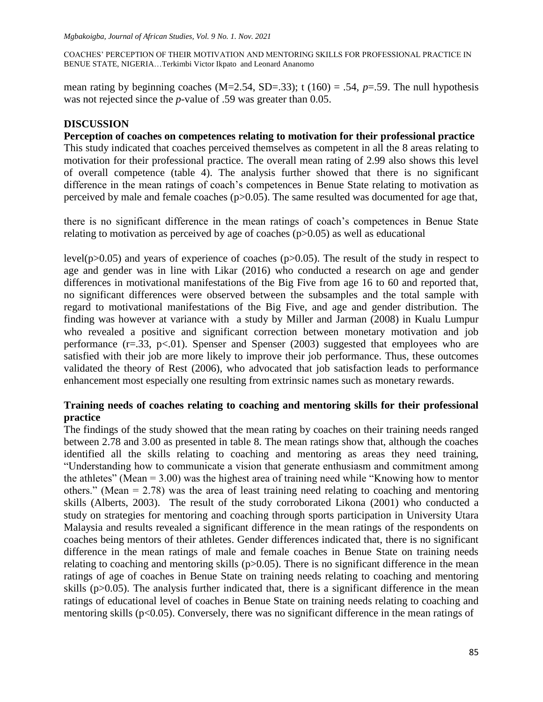mean rating by beginning coaches (M=2.54, SD=.33); t (160) = .54,  $p=$ .59. The null hypothesis was not rejected since the *p*-value of .59 was greater than 0.05.

## **DISCUSSION**

## **Perception of coaches on competences relating to motivation for their professional practice**

This study indicated that coaches perceived themselves as competent in all the 8 areas relating to motivation for their professional practice. The overall mean rating of 2.99 also shows this level of overall competence (table 4). The analysis further showed that there is no significant difference in the mean ratings of coach's competences in Benue State relating to motivation as perceived by male and female coaches (p>0.05). The same resulted was documented for age that,

there is no significant difference in the mean ratings of coach's competences in Benue State relating to motivation as perceived by age of coaches  $(p>0.05)$  as well as educational

level( $p > 0.05$ ) and years of experience of coaches ( $p > 0.05$ ). The result of the study in respect to age and gender was in line with Likar (2016) who conducted a research on age and gender differences in motivational manifestations of the Big Five from age 16 to 60 and reported that, no significant differences were observed between the subsamples and the total sample with regard to motivational manifestations of the Big Five, and age and gender distribution. The finding was however at variance with a study by Miller and Jarman (2008) in Kualu Lumpur who revealed a positive and significant correction between monetary motivation and job performance  $(r=.33, p<.01)$ . Spenser and Spenser (2003) suggested that employees who are satisfied with their job are more likely to improve their job performance. Thus, these outcomes validated the theory of Rest (2006), who advocated that job satisfaction leads to performance enhancement most especially one resulting from extrinsic names such as monetary rewards.

## **Training needs of coaches relating to coaching and mentoring skills for their professional practice**

The findings of the study showed that the mean rating by coaches on their training needs ranged between 2.78 and 3.00 as presented in table 8. The mean ratings show that, although the coaches identified all the skills relating to coaching and mentoring as areas they need training, "Understanding how to communicate a vision that generate enthusiasm and commitment among the athletes" (Mean  $= 3.00$ ) was the highest area of training need while "Knowing how to mentor others." (Mean = 2.78) was the area of least training need relating to coaching and mentoring skills (Alberts, 2003). The result of the study corroborated Likona (2001) who conducted a study on strategies for mentoring and coaching through sports participation in University Utara Malaysia and results revealed a significant difference in the mean ratings of the respondents on coaches being mentors of their athletes. Gender differences indicated that, there is no significant difference in the mean ratings of male and female coaches in Benue State on training needs relating to coaching and mentoring skills ( $p > 0.05$ ). There is no significant difference in the mean ratings of age of coaches in Benue State on training needs relating to coaching and mentoring skills ( $p > 0.05$ ). The analysis further indicated that, there is a significant difference in the mean ratings of educational level of coaches in Benue State on training needs relating to coaching and mentoring skills (p<0.05). Conversely, there was no significant difference in the mean ratings of